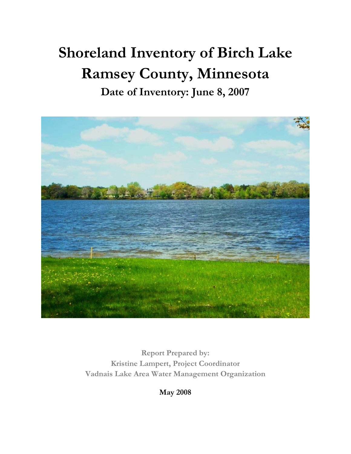## **Shoreland Inventory of Birch Lake Ramsey County, Minnesota Date of Inventory: June 8, 2007**



**Report Prepared by: Kristine Lampert, Project Coordinator Vadnais Lake Area Water Management Organization** 

**May 2008**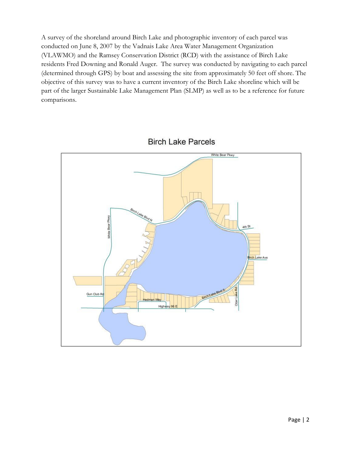A survey of the shoreland around Birch Lake and photographic inventory of each parcel was conducted on June 8, 2007 by the Vadnais Lake Area Water Management Organization (VLAWMO) and the Ramsey Conservation District (RCD) with the assistance of Birch Lake residents Fred Downing and Ronald Auger. The survey was conducted by navigating to each parcel (determined through GPS) by boat and assessing the site from approximately 50 feet off shore. The objective of this survey was to have a current inventory of the Birch Lake shoreline which will be part of the larger Sustainable Lake Management Plan (SLMP) as well as to be a reference for future comparisons.



**Birch Lake Parcels**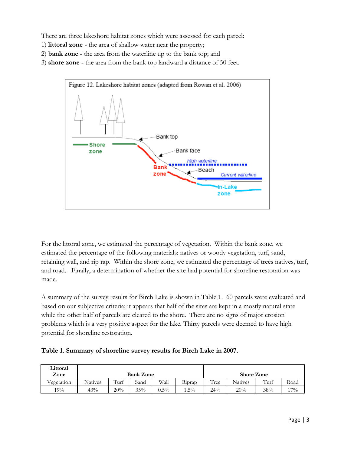There are three lakeshore habitat zones which were assessed for each parcel:

- 1) **littoral zone -** the area of shallow water near the property;
- 2) **bank zone** the area from the waterline up to the bank top; and
- 3) **shore zone** the area from the bank top landward a distance of 50 feet.



For the littoral zone, we estimated the percentage of vegetation. Within the bank zone, we estimated the percentage of the following materials: natives or woody vegetation, turf, sand, retaining wall, and rip rap. Within the shore zone, we estimated the percentage of trees natives, turf, and road. Finally, a determination of whether the site had potential for shoreline restoration was made.

A summary of the survey results for Birch Lake is shown in Table 1. 60 parcels were evaluated and based on our subjective criteria; it appears that half of the sites are kept in a mostly natural state while the other half of parcels are cleared to the shore. There are no signs of major erosion problems which is a very positive aspect for the lake. Thirty parcels were deemed to have high potential for shoreline restoration.

| Littoral<br>Zone |                |      | <b>Bank Zone</b> |         | <b>Shore Zone</b> |      |                |      |       |  |  |
|------------------|----------------|------|------------------|---------|-------------------|------|----------------|------|-------|--|--|
| T<br>Vegetation  | <b>Natives</b> | Turf | Sand             | Wall    | Riprap            | Tree | <b>Natives</b> | Turf | Road  |  |  |
| 19%              | 43%            | 20%  | 35%              | $0.5\%$ | $1.5\%$           | 24%  | 20%            | 38%  | $7\%$ |  |  |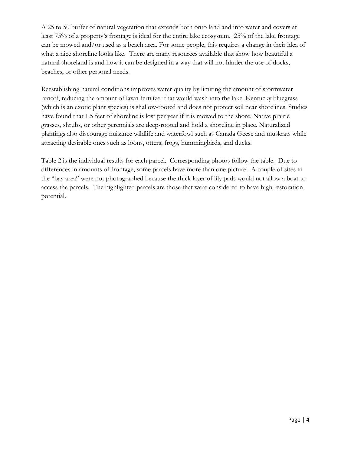A 25 to 50 buffer of natural vegetation that extends both onto land and into water and covers at least 75% of a property's frontage is ideal for the entire lake ecosystem. 25% of the lake frontage can be mowed and/or used as a beach area. For some people, this requires a change in their idea of what a nice shoreline looks like. There are many resources available that show how beautiful a natural shoreland is and how it can be designed in a way that will not hinder the use of docks, beaches, or other personal needs.

Reestablishing natural conditions improves water quality by limiting the amount of stormwater runoff, reducing the amount of lawn fertilizer that would wash into the lake. Kentucky bluegrass (which is an exotic plant species) is shallow-rooted and does not protect soil near shorelines. Studies have found that 1.5 feet of shoreline is lost per year if it is mowed to the shore. Native prairie grasses, shrubs, or other perennials are deep-rooted and hold a shoreline in place. Naturalized plantings also discourage nuisance wildlife and waterfowl such as Canada Geese and muskrats while attracting desirable ones such as loons, otters, frogs, hummingbirds, and ducks.

Table 2 is the individual results for each parcel. Corresponding photos follow the table. Due to differences in amounts of frontage, some parcels have more than one picture. A couple of sites in the "bay area" were not photographed because the thick layer of lily pads would not allow a boat to access the parcels. The highlighted parcels are those that were considered to have high restoration potential.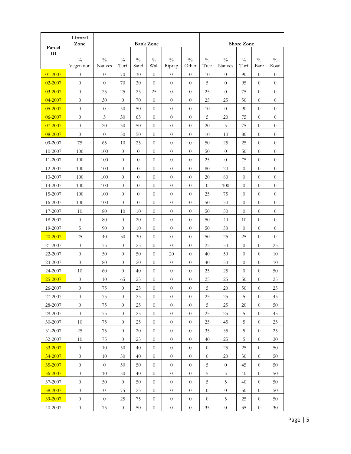|             | Littoral<br>Zone | <b>Bank Zone</b> |                |                |                |                |                  |                | <b>Shore Zone</b> |                  |                |                  |  |  |
|-------------|------------------|------------------|----------------|----------------|----------------|----------------|------------------|----------------|-------------------|------------------|----------------|------------------|--|--|
| Parcel      |                  |                  |                |                |                |                |                  |                |                   |                  |                |                  |  |  |
| ID          | $\frac{0}{0}$    | $\frac{0}{0}$    | $\frac{0}{0}$  | $\frac{0}{0}$  | $\frac{0}{0}$  | $\frac{0}{0}$  | $\frac{0}{0}$    | $\frac{0}{0}$  | $\frac{0}{0}$     | $\frac{0}{0}$    | $\frac{0}{0}$  | $\frac{0}{0}$    |  |  |
|             | Vegetation       | <b>Natives</b>   | Turf           | Sand           | Wall           | Riprap         | Other            | Tree           | <b>Natives</b>    | Turf             | Bare           | Road             |  |  |
| $01 - 2007$ | $\overline{0}$   | $\boldsymbol{0}$ | 70             | 30             | $\theta$       | $\theta$       | $\theta$         | 10             | $\theta$          | 90               | $\overline{0}$ | $\boldsymbol{0}$ |  |  |
| 02-2007     | $\overline{0}$   | $\theta$         | 70             | 30             | $\theta$       | $\theta$       | $\theta$         | 5              | $\theta$          | 95               | $\overline{0}$ | $\overline{0}$   |  |  |
| 03-2007     | $\overline{0}$   | 25               | 25             | 25             | 25             | $\theta$       | $\theta$         | 25             | $\theta$          | 75               | $\theta$       | $\boldsymbol{0}$ |  |  |
| 04-2007     | $\overline{0}$   | 30               | $\overline{0}$ | 70             | $\theta$       | $\theta$       | $\theta$         | 25             | 25                | 50               | $\overline{0}$ | $\boldsymbol{0}$ |  |  |
| 05-2007     | $\overline{0}$   | $\overline{0}$   | 50             | 50             | $\theta$       | $\theta$       | $\theta$         | 10             | $\theta$          | 90               | $\overline{0}$ | $\theta$         |  |  |
| 06-2007     | $\overline{0}$   | 5                | 30             | 65             | $\overline{0}$ | $\theta$       | $\theta$         | 5              | 20                | 75               | $\overline{0}$ | $\boldsymbol{0}$ |  |  |
| 07-2007     | $\overline{0}$   | 20               | 30             | 50             | $\theta$       | $\theta$       | $\theta$         | 20             | 5                 | 75               | $\overline{0}$ | $\theta$         |  |  |
| 08-2007     | $\overline{0}$   | $\overline{0}$   | 50             | 50             | $\theta$       | $\theta$       | $\boldsymbol{0}$ | 10             | 10                | 80               | $\theta$       | $\boldsymbol{0}$ |  |  |
| 09-2007     | 75               | 65               | 10             | 25             | $\theta$       | $\theta$       | $\theta$         | 50             | 25                | 25               | $\Omega$       | $\overline{0}$   |  |  |
| 10-2007     | 100              | 100              | $\overline{0}$ | $\theta$       | $\theta$       | $\theta$       | $\theta$         | 50             | $\theta$          | 50               | $\theta$       | $\boldsymbol{0}$ |  |  |
| 11-2007     | 100              | 100              | $\overline{0}$ | $\theta$       | $\theta$       | $\theta$       | $\theta$         | 25             | $\theta$          | 75               | $\overline{0}$ | $\overline{0}$   |  |  |
| 12-2007     | 100              | 100              | $\overline{0}$ | $\overline{0}$ | $\theta$       | $\theta$       | $\overline{0}$   | 80             | 20                | $\theta$         | $\theta$       | $\overline{0}$   |  |  |
| 13-2007     | 100              | 100              | $\theta$       | $\overline{0}$ | $\theta$       | $\theta$       | $\overline{0}$   | 20             | 80                | $\theta$         | $\theta$       | $\theta$         |  |  |
| 14-2007     | 100              | 100              | $\overline{0}$ | $\overline{0}$ | $\theta$       | $\theta$       | $\overline{0}$   | $\theta$       | 100               | $\overline{0}$   | $\theta$       | $\boldsymbol{0}$ |  |  |
| 15-2007     | 100              | 100              | $\theta$       | $\overline{0}$ | $\theta$       | $\overline{0}$ | $\overline{0}$   | 25             | 75                | $\theta$         | $\theta$       | $\theta$         |  |  |
| 16-2007     | 100              | 100              | $\overline{0}$ | $\overline{0}$ | $\overline{0}$ | $\theta$       | $\overline{0}$   | 50             | 50                | $\theta$         | $\theta$       | $\boldsymbol{0}$ |  |  |
| 17-2007     | 10               | 80               | 10             | 10             | $\theta$       | $\theta$       | $\overline{0}$   | 50             | 50                | $\boldsymbol{0}$ | $\theta$       | $\overline{0}$   |  |  |
| 18-2007     | $\boldsymbol{0}$ | 80               | $\overline{0}$ | 20             | $\overline{0}$ | $\theta$       | $\boldsymbol{0}$ | 50             | 40                | 10               | $\theta$       | $\boldsymbol{0}$ |  |  |
| 19-2007     | 5                | 90               | $\overline{0}$ | 10             | $\overline{0}$ | $\theta$       | $\overline{0}$   | 50             | 50                | $\overline{0}$   | $\theta$       | $\overline{0}$   |  |  |
| 20-2007     | 25               | 40               | 30             | 30             | $\theta$       | $\overline{0}$ | $\boldsymbol{0}$ | 50             | 25                | 25               | $\theta$       | $\overline{0}$   |  |  |
| 21-2007     | $\overline{0}$   | 75               | $\theta$       | 25             | $\theta$       | $\theta$       | $\overline{0}$   | 25             | 50                | $\overline{0}$   | $\theta$       | 25               |  |  |
| 22-2007     | $\overline{0}$   | 50               | $\theta$       | 50             | $\theta$       | 20             | $\theta$         | 40             | 50                | $\theta$         | $\theta$       | 10               |  |  |
| 23-2007     | $\overline{0}$   | 80               | $\overline{0}$ | 20             | $\theta$       | $\theta$       | $\theta$         | 40             | 50                | $\overline{0}$   | $\overline{0}$ | 10               |  |  |
| 24-2007     | 10               | 60               | $\theta$       | 40             | $\overline{0}$ | $\theta$       | $\theta$         | 25             | 25                | $\theta$         | $\overline{0}$ | 50               |  |  |
| 25-2007     | $\overline{0}$   | 10               | 65             | 25             | $\overline{0}$ | $\overline{0}$ | $\theta$         | 25             | 25                | 50               | $\overline{0}$ | 25               |  |  |
| 26-2007     | $\theta$         | 75               | $\theta$       | 25             | $\overline{0}$ | $\overline{0}$ | $\theta$         | 5              | 20                | 50               | $\overline{0}$ | 25               |  |  |
| 27-2007     | $\theta$         | 75               | $\theta$       | 25             | $\theta$       | $\theta$       | $\overline{0}$   | 25             | 25                | 5                | $\theta$       | 45               |  |  |
| 28-2007     | $\theta$         | 75               | $\theta$       | 25             | $\theta$       | $\theta$       | $\theta$         | 5              | 25                | 20               | $\theta$       | 50               |  |  |
| 29-2007     | $\theta$         | 75               | $\overline{0}$ | 25             | $\theta$       | $\overline{0}$ | $\boldsymbol{0}$ | 25             | 25                | 5                | $\overline{0}$ | 45               |  |  |
| 30-2007     | 10               | 75               | $\theta$       | 25             | $\theta$       | $\theta$       | $\boldsymbol{0}$ | 25             | 45                | 5                | $\theta$       | 25               |  |  |
| 31-2007     | 25               | 75               | $\overline{0}$ | 20             | $\theta$       | $\overline{0}$ | $\boldsymbol{0}$ | 35             | 35                | 5                | $\overline{0}$ | 25               |  |  |
| 32-2007     | 10               | 75               | $\overline{0}$ | 25             | $\theta$       | $\overline{0}$ | $\boldsymbol{0}$ | 40             | 25                | 5                | $\overline{0}$ | 30               |  |  |
| 33-2007     | $\boldsymbol{0}$ | 10               | 50             | 40             | $\theta$       | $\theta$       | $\boldsymbol{0}$ | $\theta$       | 25                | 25               | $\overline{0}$ | 50               |  |  |
| 34-2007     | $\theta$         | 10               | 50             | 40             | $\overline{0}$ | $\overline{0}$ | $\boldsymbol{0}$ | $\overline{0}$ | 20                | 30               | $\theta$       | 50               |  |  |
| 35-2007     | $\boldsymbol{0}$ | $\theta$         | 50             | 50             | $\overline{0}$ | $\theta$       | $\boldsymbol{0}$ | 5              | $\theta$          | 45               | $\overline{0}$ | 50               |  |  |
| 36-2007     | $\overline{0}$   | 10               | 50             | 40             | $\theta$       | $\overline{0}$ | $\boldsymbol{0}$ | 5              | $\sqrt{5}$        | 40               | $\theta$       | 50               |  |  |
| 37-2007     | $\overline{0}$   | 50               | $\theta$       | 50             | $\overline{0}$ | $\theta$       | $\boldsymbol{0}$ | 5              | $\sqrt{5}$        | 40               | $\overline{0}$ | 50               |  |  |
| 38-2007     | $\overline{0}$   | $\overline{0}$   | 75             | 25             | $\theta$       | $\theta$       | $\overline{0}$   | $\theta$       | $\overline{0}$    | 50               | $\Omega$       | 50               |  |  |
| 39-2007     | $\theta$         | $\overline{0}$   | 25             | 75             | $\overline{0}$ | $\theta$       | $\overline{0}$   | $\theta$       | 5                 | 25               | $\theta$       | 50               |  |  |
| 40-2007     | $\theta$         | 75               | $\theta$       | 50             | $\theta$       | $\overline{0}$ | $\boldsymbol{0}$ | 35             | $\theta$          | 35               | $\theta$       | 30               |  |  |